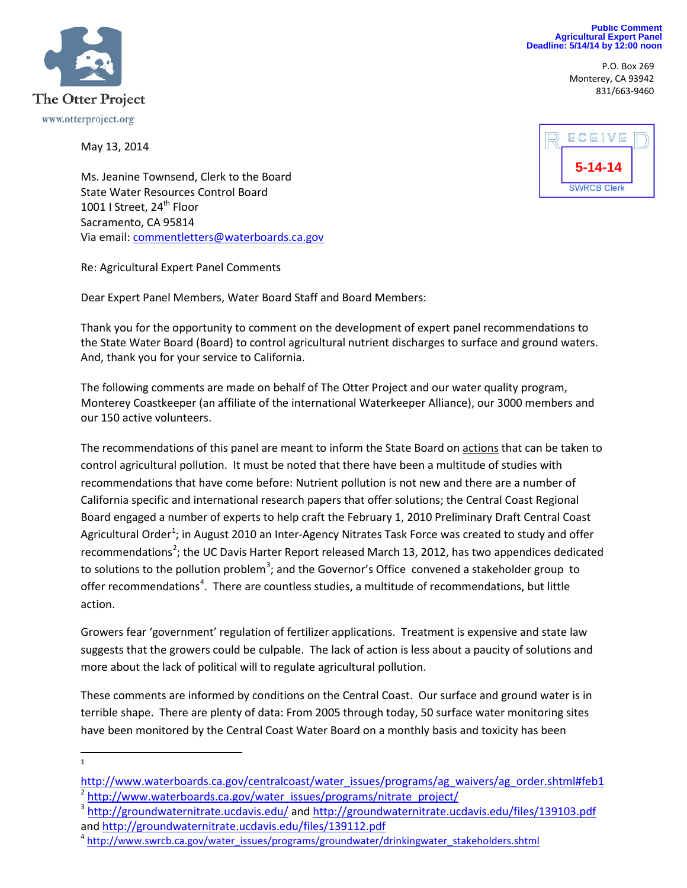

P.O. Box 269 Monterey, CA 93942 831/663-9460



May 13, 2014



Ms. Jeanine Townsend, Clerk to the Board State Water Resources Control Board 1001 | Street, 24<sup>th</sup> Floor Sacramento, CA 95814 Via email[: commentletters@waterboards.ca.gov](mailto:commentletters@waterboards.ca.gov)

Re: Agricultural Expert Panel Comments

Dear Expert Panel Members, Water Board Staff and Board Members:

Thank you for the opportunity to comment on the development of expert panel recommendations to the State Water Board (Board) to control agricultural nutrient discharges to surface and ground waters. And, thank you for your service to California.

The following comments are made on behalf of The Otter Project and our water quality program, Monterey Coastkeeper (an affiliate of the international Waterkeeper Alliance), our 3000 members and our 150 active volunteers.

The recommendations of this panel are meant to inform the State Board on actions that can be taken to control agricultural pollution. It must be noted that there have been a multitude of studies with recommendations that have come before: Nutrient pollution is not new and there are a number of California specific and international research papers that offer solutions; the Central Coast Regional Board engaged a number of experts to help craft the February 1, 2010 Preliminary Draft Central Coast Agricultural Order<sup>[1](#page-0-0)</sup>; in August 2010 an Inter-Agency Nitrates Task Force was created to study and offer recommendations<sup>[2](#page-0-1)</sup>; the UC Davis Harter Report released March 13, 2012, has two appendices dedicated to solutions to the pollution problem<sup>[3](#page-0-2)</sup>; and the Governor's Office convened a stakeholder group to offer recommendations<sup>[4](#page-0-3)</sup>. There are countless studies, a multitude of recommendations, but little action.

Growers fear 'government' regulation of fertilizer applications. Treatment is expensive and state law suggests that the growers could be culpable. The lack of action is less about a paucity of solutions and more about the lack of political will to regulate agricultural pollution.

These comments are informed by conditions on the Central Coast. Our surface and ground water is in terrible shape. There are plenty of data: From 2005 through today, 50 surface water monitoring sites have been monitored by the Central Coast Water Board on a monthly basis and toxicity has been

 $\frac{1}{1}$  $\mathbf{1}$ 

<span id="page-0-1"></span><span id="page-0-0"></span>[http://www.waterboards.ca.gov/centralcoast/water\\_issues/programs/ag\\_waivers/ag\\_order.shtml#feb1](http://www.waterboards.ca.gov/centralcoast/water_issues/programs/ag_waivers/ag_order.shtml#feb1) <sup>2</sup> [http://www.waterboards.ca.gov/water\\_issues/programs/nitrate\\_project/](http://www.waterboards.ca.gov/water_issues/programs/nitrate_project/)

<span id="page-0-2"></span><sup>&</sup>lt;sup>3</sup> <http://groundwaternitrate.ucdavis.edu/> and<http://groundwaternitrate.ucdavis.edu/files/139103.pdf> and<http://groundwaternitrate.ucdavis.edu/files/139112.pdf><br><sup>4</sup> [http://www.swrcb.ca.gov/water\\_issues/programs/groundwater/drinkingwater\\_stakeholders.shtml](http://www.swrcb.ca.gov/water_issues/programs/groundwater/drinkingwater_stakeholders.shtml)

<span id="page-0-3"></span>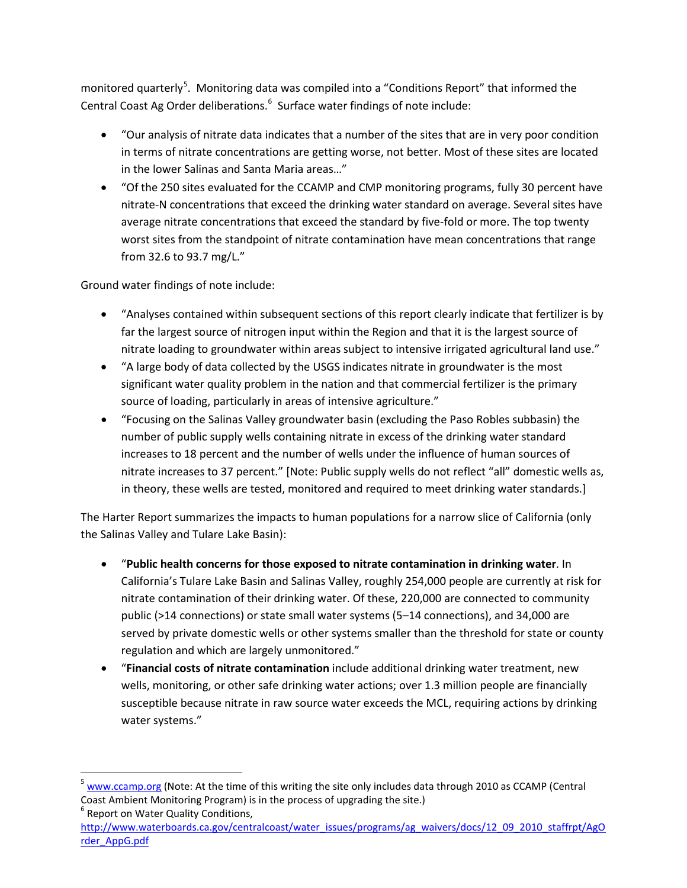monitored quarterly<sup>[5](#page-1-0)</sup>. Monitoring data was compiled into a "Conditions Report" that informed the Central Coast Ag Order deliberations. $^6$  $^6$  Surface water findings of note include:

- "Our analysis of nitrate data indicates that a number of the sites that are in very poor condition in terms of nitrate concentrations are getting worse, not better. Most of these sites are located in the lower Salinas and Santa Maria areas…"
- "Of the 250 sites evaluated for the CCAMP and CMP monitoring programs, fully 30 percent have nitrate-N concentrations that exceed the drinking water standard on average. Several sites have average nitrate concentrations that exceed the standard by five-fold or more. The top twenty worst sites from the standpoint of nitrate contamination have mean concentrations that range from 32.6 to 93.7 mg/L."

Ground water findings of note include:

- "Analyses contained within subsequent sections of this report clearly indicate that fertilizer is by far the largest source of nitrogen input within the Region and that it is the largest source of nitrate loading to groundwater within areas subject to intensive irrigated agricultural land use."
- "A large body of data collected by the USGS indicates nitrate in groundwater is the most significant water quality problem in the nation and that commercial fertilizer is the primary source of loading, particularly in areas of intensive agriculture."
- "Focusing on the Salinas Valley groundwater basin (excluding the Paso Robles subbasin) the number of public supply wells containing nitrate in excess of the drinking water standard increases to 18 percent and the number of wells under the influence of human sources of nitrate increases to 37 percent." [Note: Public supply wells do not reflect "all" domestic wells as, in theory, these wells are tested, monitored and required to meet drinking water standards.]

The Harter Report summarizes the impacts to human populations for a narrow slice of California (only the Salinas Valley and Tulare Lake Basin):

- "**Public health concerns for those exposed to nitrate contamination in drinking water**. In California's Tulare Lake Basin and Salinas Valley, roughly 254,000 people are currently at risk for nitrate contamination of their drinking water. Of these, 220,000 are connected to community public (>14 connections) or state small water systems (5–14 connections), and 34,000 are served by private domestic wells or other systems smaller than the threshold for state or county regulation and which are largely unmonitored."
- "**Financial costs of nitrate contamination** include additional drinking water treatment, new wells, monitoring, or other safe drinking water actions; over 1.3 million people are financially susceptible because nitrate in raw source water exceeds the MCL, requiring actions by drinking water systems."

<span id="page-1-0"></span> <sup>5</sup> [www.ccamp.org](http://www.ccamp.org/) (Note: At the time of this writing the site only includes data through 2010 as CCAMP (Central Coast Ambient Monitoring Program) is in the process of upgrading the site.) <sup>6</sup> Report on Water Quality Conditions,

<span id="page-1-1"></span>[http://www.waterboards.ca.gov/centralcoast/water\\_issues/programs/ag\\_waivers/docs/12\\_09\\_2010\\_staffrpt/AgO](http://www.waterboards.ca.gov/centralcoast/water_issues/programs/ag_waivers/docs/12_09_2010_staffrpt/AgOrder_AppG.pdf) [rder\\_AppG.pdf](http://www.waterboards.ca.gov/centralcoast/water_issues/programs/ag_waivers/docs/12_09_2010_staffrpt/AgOrder_AppG.pdf)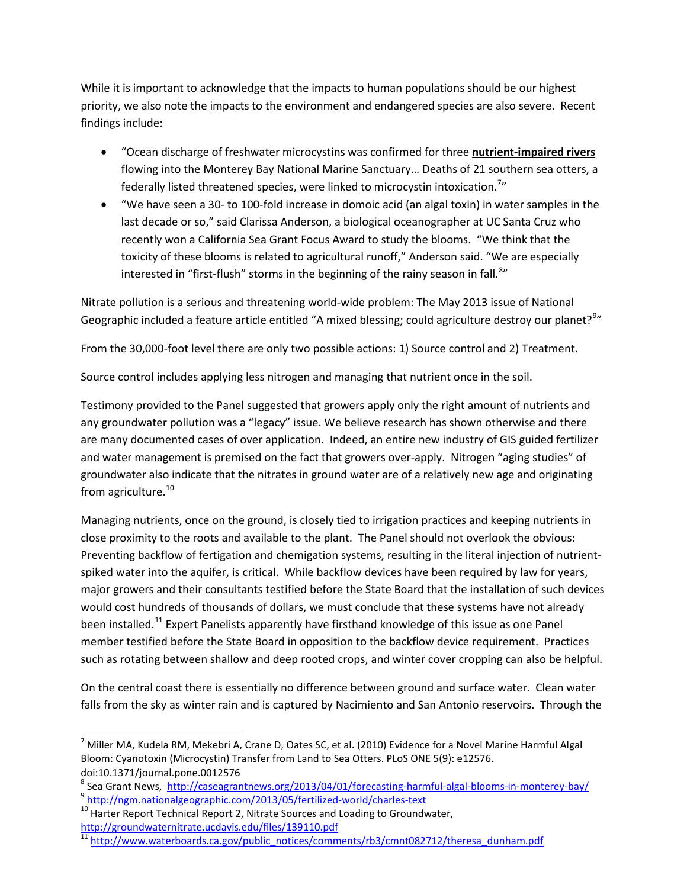While it is important to acknowledge that the impacts to human populations should be our highest priority, we also note the impacts to the environment and endangered species are also severe. Recent findings include:

- "Ocean discharge of freshwater microcystins was confirmed for three **nutrient-impaired rivers** flowing into the Monterey Bay National Marine Sanctuary… Deaths of 21 southern sea otters, a federally listed threatened species, were linked to microcystin intoxication.<sup>[7](#page-2-0)</sup>"
- "We have seen a 30- to 100-fold increase in domoic acid (an algal toxin) in water samples in the last decade or so," said Clarissa Anderson, a biological oceanographer at UC Santa Cruz who recently won a California Sea Grant Focus Award to study the blooms. "We think that the toxicity of these blooms is related to agricultural runoff," Anderson said. "We are especially interested in "first-flush" storms in the beginning of the rainy season in fall.<sup>[8](#page-2-1)</sup>"

Nitrate pollution is a serious and threatening world-wide problem: The May 2013 issue of National Geographic included a feature article entitled "A mixed blessing; could agriculture destroy our planet?<sup>[9](#page-2-2)</sup>"

From the 30,000-foot level there are only two possible actions: 1) Source control and 2) Treatment.

Source control includes applying less nitrogen and managing that nutrient once in the soil.

Testimony provided to the Panel suggested that growers apply only the right amount of nutrients and any groundwater pollution was a "legacy" issue. We believe research has shown otherwise and there are many documented cases of over application. Indeed, an entire new industry of GIS guided fertilizer and water management is premised on the fact that growers over-apply. Nitrogen "aging studies" of groundwater also indicate that the nitrates in ground water are of a relatively new age and originating from agriculture. $10$ 

Managing nutrients, once on the ground, is closely tied to irrigation practices and keeping nutrients in close proximity to the roots and available to the plant. The Panel should not overlook the obvious: Preventing backflow of fertigation and chemigation systems, resulting in the literal injection of nutrientspiked water into the aquifer, is critical. While backflow devices have been required by law for years, major growers and their consultants testified before the State Board that the installation of such devices would cost hundreds of thousands of dollars, we must conclude that these systems have not already been installed.<sup>[11](#page-2-4)</sup> Expert Panelists apparently have firsthand knowledge of this issue as one Panel member testified before the State Board in opposition to the backflow device requirement. Practices such as rotating between shallow and deep rooted crops, and winter cover cropping can also be helpful.

On the central coast there is essentially no difference between ground and surface water. Clean water falls from the sky as winter rain and is captured by Nacimiento and San Antonio reservoirs. Through the

<span id="page-2-0"></span> $^7$  Miller MA, Kudela RM, Mekebri A, Crane D, Oates SC, et al. (2010) Evidence for a Novel Marine Harmful Algal Bloom: Cyanotoxin (Microcystin) Transfer from Land to Sea Otters. PLoS ONE 5(9): e12576. doi:10.1371/journal.pone.0012576

<span id="page-2-2"></span><span id="page-2-1"></span><sup>&</sup>lt;sup>8</sup> Sea Grant News, <http://caseagrantnews.org/2013/04/01/forecasting-harmful-algal-blooms-in-monterey-bay/><br><sup>9</sup> <http://ngm.nationalgeographic.com/2013/05/fertilized-world/charles-text><br><sup>10</sup> Harter Report Technical Report 2,

<span id="page-2-3"></span>

<span id="page-2-4"></span> $\frac{1}{11}$  [http://www.waterboards.ca.gov/public\\_notices/comments/rb3/cmnt082712/theresa\\_dunham.pdf](http://www.waterboards.ca.gov/public_notices/comments/rb3/cmnt082712/theresa_dunham.pdf)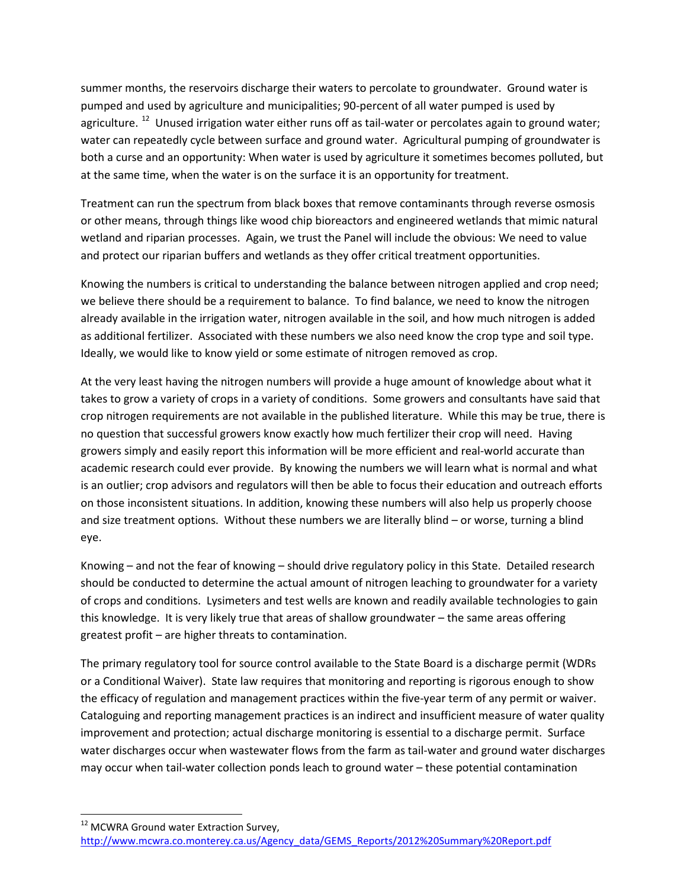summer months, the reservoirs discharge their waters to percolate to groundwater. Ground water is pumped and used by agriculture and municipalities; 90-percent of all water pumped is used by agriculture.<sup>[12](#page-3-0)</sup> Unused irrigation water either runs off as tail-water or percolates again to ground water; water can repeatedly cycle between surface and ground water. Agricultural pumping of groundwater is both a curse and an opportunity: When water is used by agriculture it sometimes becomes polluted, but at the same time, when the water is on the surface it is an opportunity for treatment.

Treatment can run the spectrum from black boxes that remove contaminants through reverse osmosis or other means, through things like wood chip bioreactors and engineered wetlands that mimic natural wetland and riparian processes. Again, we trust the Panel will include the obvious: We need to value and protect our riparian buffers and wetlands as they offer critical treatment opportunities.

Knowing the numbers is critical to understanding the balance between nitrogen applied and crop need; we believe there should be a requirement to balance. To find balance, we need to know the nitrogen already available in the irrigation water, nitrogen available in the soil, and how much nitrogen is added as additional fertilizer. Associated with these numbers we also need know the crop type and soil type. Ideally, we would like to know yield or some estimate of nitrogen removed as crop.

At the very least having the nitrogen numbers will provide a huge amount of knowledge about what it takes to grow a variety of crops in a variety of conditions. Some growers and consultants have said that crop nitrogen requirements are not available in the published literature. While this may be true, there is no question that successful growers know exactly how much fertilizer their crop will need. Having growers simply and easily report this information will be more efficient and real-world accurate than academic research could ever provide. By knowing the numbers we will learn what is normal and what is an outlier; crop advisors and regulators will then be able to focus their education and outreach efforts on those inconsistent situations. In addition, knowing these numbers will also help us properly choose and size treatment options. Without these numbers we are literally blind – or worse, turning a blind eye.

Knowing – and not the fear of knowing – should drive regulatory policy in this State. Detailed research should be conducted to determine the actual amount of nitrogen leaching to groundwater for a variety of crops and conditions. Lysimeters and test wells are known and readily available technologies to gain this knowledge. It is very likely true that areas of shallow groundwater – the same areas offering greatest profit – are higher threats to contamination.

The primary regulatory tool for source control available to the State Board is a discharge permit (WDRs or a Conditional Waiver). State law requires that monitoring and reporting is rigorous enough to show the efficacy of regulation and management practices within the five-year term of any permit or waiver. Cataloguing and reporting management practices is an indirect and insufficient measure of water quality improvement and protection; actual discharge monitoring is essential to a discharge permit. Surface water discharges occur when wastewater flows from the farm as tail-water and ground water discharges may occur when tail-water collection ponds leach to ground water – these potential contamination

<span id="page-3-0"></span><sup>12</sup> MCWRA Ground water Extraction Survey, [http://www.mcwra.co.monterey.ca.us/Agency\\_data/GEMS\\_Reports/2012%20Summary%20Report.pdf](http://www.mcwra.co.monterey.ca.us/Agency_data/GEMS_Reports/2012%20Summary%20Report.pdf)